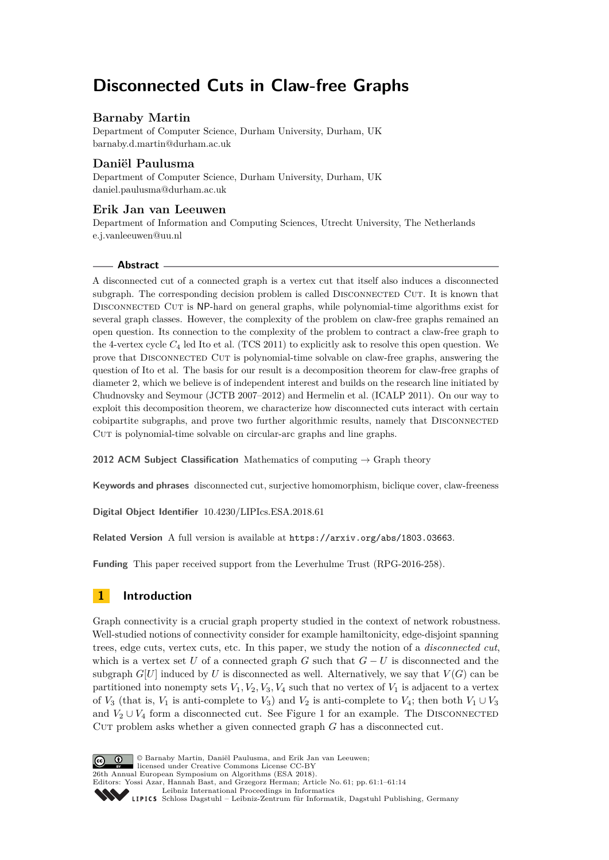# **Disconnected Cuts in Claw-free Graphs**

# **Barnaby Martin**

Department of Computer Science, Durham University, Durham, UK [barnaby.d.martin@durham.ac.uk](mailto:barnaby.d.martin@durham.ac.uk)

# **Daniël Paulusma**

Department of Computer Science, Durham University, Durham, UK [daniel.paulusma@durham.ac.uk](mailto:daniel.paulusma@durham.ac.uk)

# **Erik Jan van Leeuwen**

Department of Information and Computing Sciences, Utrecht University, The Netherlands [e.j.vanleeuwen@uu.nl](mailto:e.j.vanleeuwen@uu.nl)

## **Abstract**

A disconnected cut of a connected graph is a vertex cut that itself also induces a disconnected subgraph. The corresponding decision problem is called DISCONNECTED CUT. It is known that DISCONNECTED CUT is NP-hard on general graphs, while polynomial-time algorithms exist for several graph classes. However, the complexity of the problem on claw-free graphs remained an open question. Its connection to the complexity of the problem to contract a claw-free graph to the 4-vertex cycle *C*<sup>4</sup> led Ito et al. (TCS 2011) to explicitly ask to resolve this open question. We prove that Disconnected Cut is polynomial-time solvable on claw-free graphs, answering the question of Ito et al. The basis for our result is a decomposition theorem for claw-free graphs of diameter 2, which we believe is of independent interest and builds on the research line initiated by Chudnovsky and Seymour (JCTB 2007–2012) and Hermelin et al. (ICALP 2011). On our way to exploit this decomposition theorem, we characterize how disconnected cuts interact with certain cobipartite subgraphs, and prove two further algorithmic results, namely that DISCONNECTED CUT is polynomial-time solvable on circular-arc graphs and line graphs.

**2012 ACM Subject Classification** Mathematics of computing  $\rightarrow$  Graph theory

**Keywords and phrases** disconnected cut, surjective homomorphism, biclique cover, claw-freeness

**Digital Object Identifier** [10.4230/LIPIcs.ESA.2018.61](http://dx.doi.org/10.4230/LIPIcs.ESA.2018.61)

**Related Version** A full version is available at <https://arxiv.org/abs/1803.03663>.

**Funding** This paper received support from the Leverhulme Trust (RPG-2016-258).

# **1 Introduction**

Graph connectivity is a crucial graph property studied in the context of network robustness. Well-studied notions of connectivity consider for example hamiltonicity, edge-disjoint spanning trees, edge cuts, vertex cuts, etc. In this paper, we study the notion of a *disconnected cut*, which is a vertex set *U* of a connected graph *G* such that  $G - U$  is disconnected and the subgraph  $G[U]$  induced by *U* is disconnected as well. Alternatively, we say that  $V(G)$  can be partitioned into nonempty sets  $V_1, V_2, V_3, V_4$  such that no vertex of  $V_1$  is adjacent to a vertex of *V*<sub>3</sub> (that is, *V*<sub>1</sub> is anti-complete to *V*<sub>3</sub>) and *V*<sub>2</sub> is anti-complete to *V*<sub>4</sub>; then both *V*<sub>1</sub> ∪ *V*<sub>3</sub> and  $V_2 \cup V_4$  form a disconnected cut. See Figure [1](#page-1-0) for an example. The DISCONNECTED CUT problem asks whether a given connected graph *G* has a disconnected cut.



© Barnaby Martin, Daniël Paulusma, and Erik Jan van Leeuwen; licensed under Creative Commons License CC-BY 26th Annual European Symposium on Algorithms (ESA 2018). Editors: Yossi Azar, Hannah Bast, and Grzegorz Herman; Article No. 61; pp. 61:1–61[:14](#page-13-0) [Leibniz International Proceedings in Informatics](http://www.dagstuhl.de/lipics/) Leibniz International Froceedings in miormatics<br>
LIPICS [Schloss Dagstuhl – Leibniz-Zentrum für Informatik, Dagstuhl Publishing, Germany](http://www.dagstuhl.de)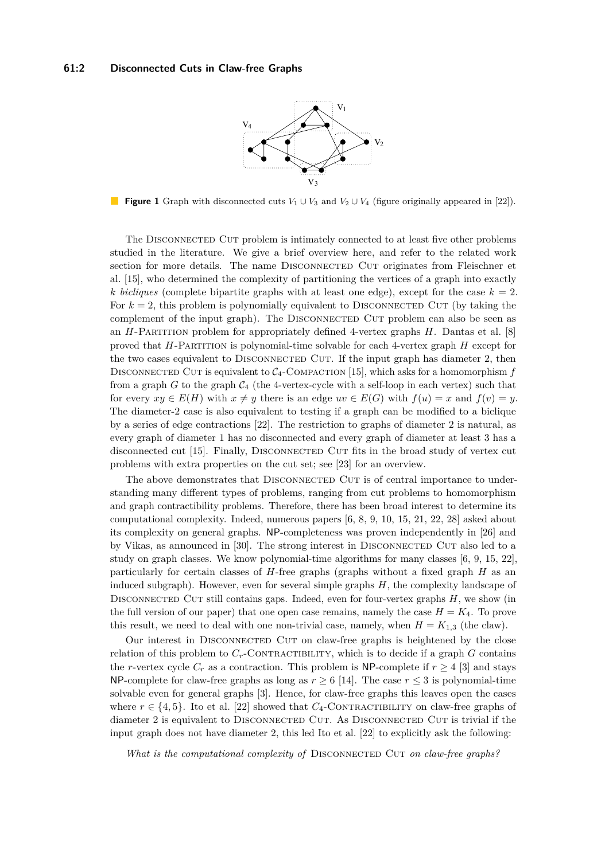

<span id="page-1-0"></span>**Figure 1** Graph with disconnected cuts  $V_1 \cup V_3$  and  $V_2 \cup V_4$  (figure originally appeared in [\[22\]](#page-13-1)).

The Disconnected Cut problem is intimately connected to at least five other problems studied in the literature. We give a brief overview here, and refer to the related work section for more details. The name DISCONNECTED CUT originates from Fleischner et al. [\[15\]](#page-12-0), who determined the complexity of partitioning the vertices of a graph into exactly *k bicliques* (complete bipartite graphs with at least one edge), except for the case  $k = 2$ . For  $k = 2$ , this problem is polynomially equivalent to DISCONNECTED CUT (by taking the complement of the input graph). The DISCONNECTED CUT problem can also be seen as an *H*-Partition problem for appropriately defined 4-vertex graphs *H*. Dantas et al. [\[8\]](#page-12-1) proved that *H*-Partition is polynomial-time solvable for each 4-vertex graph *H* except for the two cases equivalent to DISCONNECTED CUT. If the input graph has diameter 2, then DISCONNECTED CUT is equivalent to  $C_4$ -COMPACTION [\[15\]](#page-12-0), which asks for a homomorphism  $f$ from a graph  $G$  to the graph  $C_4$  (the 4-vertex-cycle with a self-loop in each vertex) such that for every  $xy \in E(H)$  with  $x \neq y$  there is an edge  $uv \in E(G)$  with  $f(u) = x$  and  $f(v) = y$ . The diameter-2 case is also equivalent to testing if a graph can be modified to a biclique by a series of edge contractions [\[22\]](#page-13-1). The restriction to graphs of diameter 2 is natural, as every graph of diameter 1 has no disconnected and every graph of diameter at least 3 has a disconnected cut [\[15\]](#page-12-0). Finally, Disconnected Cut fits in the broad study of vertex cut problems with extra properties on the cut set; see [\[23\]](#page-13-2) for an overview.

The above demonstrates that DISCONNECTED CUT is of central importance to understanding many different types of problems, ranging from cut problems to homomorphism and graph contractibility problems. Therefore, there has been broad interest to determine its computational complexity. Indeed, numerous papers [\[6,](#page-12-2) [8,](#page-12-1) [9,](#page-12-3) [10,](#page-12-4) [15,](#page-12-0) [21,](#page-13-3) [22,](#page-13-1) [28\]](#page-13-4) asked about its complexity on general graphs. NP-completeness was proven independently in [\[26\]](#page-13-5) and by Vikas, as announced in [\[30\]](#page-13-6). The strong interest in DISCONNECTED CUT also led to a study on graph classes. We know polynomial-time algorithms for many classes [\[6,](#page-12-2) [9,](#page-12-3) [15,](#page-12-0) [22\]](#page-13-1), particularly for certain classes of *H*-free graphs (graphs without a fixed graph *H* as an induced subgraph). However, even for several simple graphs *H*, the complexity landscape of DISCONNECTED CUT still contains gaps. Indeed, even for four-vertex graphs *H*, we show (in the full version of our paper) that one open case remains, namely the case  $H = K_4$ . To prove this result, we need to deal with one non-trivial case, namely, when  $H = K_{1,3}$  (the claw).

Our interest in DISCONNECTED CUT on claw-free graphs is heightened by the close relation of this problem to  $C_r$ -CONTRACTIBILITY, which is to decide if a graph  $G$  contains the *r*-vertex cycle  $C_r$  as a contraction. This problem is NP-complete if  $r \geq 4$  [\[3\]](#page-12-5) and stays NP-complete for claw-free graphs as long as  $r \geq 6$  [\[14\]](#page-12-6). The case  $r \leq 3$  is polynomial-time solvable even for general graphs [\[3\]](#page-12-5). Hence, for claw-free graphs this leaves open the cases where  $r \in \{4, 5\}$ . Ito et al. [\[22\]](#page-13-1) showed that  $C_4$ -CONTRACTIBILITY on claw-free graphs of diameter 2 is equivalent to DISCONNECTED CUT. As DISCONNECTED CUT is trivial if the input graph does not have diameter 2, this led Ito et al. [\[22\]](#page-13-1) to explicitly ask the following:

*What is the computational complexity of DISCONNECTED CUT on claw-free graphs?*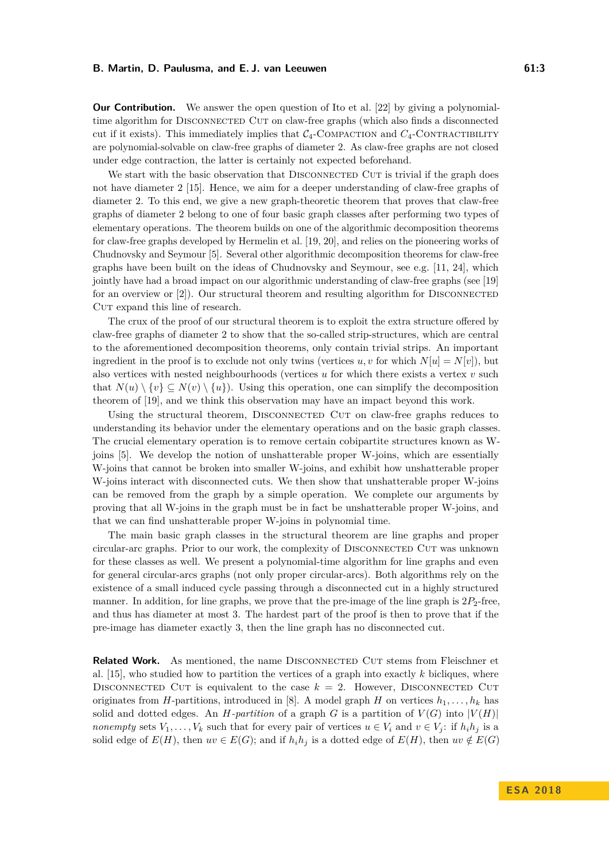**Our Contribution.** We answer the open question of Ito et al. [\[22\]](#page-13-1) by giving a polynomialtime algorithm for Disconnected Cut on claw-free graphs (which also finds a disconnected cut if it exists). This immediately implies that  $C_4$ -COMPACTION and  $C_4$ -CONTRACTIBILITY are polynomial-solvable on claw-free graphs of diameter 2. As claw-free graphs are not closed under edge contraction, the latter is certainly not expected beforehand.

We start with the basic observation that DISCONNECTED CUT is trivial if the graph does not have diameter 2 [\[15\]](#page-12-0). Hence, we aim for a deeper understanding of claw-free graphs of diameter 2. To this end, we give a new graph-theoretic theorem that proves that claw-free graphs of diameter 2 belong to one of four basic graph classes after performing two types of elementary operations. The theorem builds on one of the algorithmic decomposition theorems for claw-free graphs developed by Hermelin et al. [\[19,](#page-13-7) [20\]](#page-13-8), and relies on the pioneering works of Chudnovsky and Seymour [\[5\]](#page-12-7). Several other algorithmic decomposition theorems for claw-free graphs have been built on the ideas of Chudnovsky and Seymour, see e.g. [\[11,](#page-12-8) [24\]](#page-13-9), which jointly have had a broad impact on our algorithmic understanding of claw-free graphs (see [\[19\]](#page-13-7) for an overview or  $[2]$ . Our structural theorem and resulting algorithm for DISCONNECTED CUT expand this line of research.

The crux of the proof of our structural theorem is to exploit the extra structure offered by claw-free graphs of diameter 2 to show that the so-called strip-structures, which are central to the aforementioned decomposition theorems, only contain trivial strips. An important ingredient in the proof is to exclude not only twins (vertices  $u, v$  for which  $N[u] = N[v]$ ), but also vertices with nested neighbourhoods (vertices *u* for which there exists a vertex *v* such that  $N(u) \setminus \{v\} \subseteq N(v) \setminus \{u\}$ . Using this operation, one can simplify the decomposition theorem of [\[19\]](#page-13-7), and we think this observation may have an impact beyond this work.

Using the structural theorem, DISCONNECTED CUT on claw-free graphs reduces to understanding its behavior under the elementary operations and on the basic graph classes. The crucial elementary operation is to remove certain cobipartite structures known as Wjoins [\[5\]](#page-12-7). We develop the notion of unshatterable proper W-joins, which are essentially W-joins that cannot be broken into smaller W-joins, and exhibit how unshatterable proper W-joins interact with disconnected cuts. We then show that unshatterable proper W-joins can be removed from the graph by a simple operation. We complete our arguments by proving that all W-joins in the graph must be in fact be unshatterable proper W-joins, and that we can find unshatterable proper W-joins in polynomial time.

The main basic graph classes in the structural theorem are line graphs and proper circular-arc graphs. Prior to our work, the complexity of Disconnected Cut was unknown for these classes as well. We present a polynomial-time algorithm for line graphs and even for general circular-arcs graphs (not only proper circular-arcs). Both algorithms rely on the existence of a small induced cycle passing through a disconnected cut in a highly structured manner. In addition, for line graphs, we prove that the pre-image of the line graph is  $2P_2$ -free, and thus has diameter at most 3. The hardest part of the proof is then to prove that if the pre-image has diameter exactly 3, then the line graph has no disconnected cut.

**Related Work.** As mentioned, the name DISCONNECTED CUT stems from Fleischner et al. [\[15\]](#page-12-0), who studied how to partition the vertices of a graph into exactly *k* bicliques, where DISCONNECTED CUT is equivalent to the case  $k = 2$ . However, DISCONNECTED CUT originates from *H*-partitions, introduced in [\[8\]](#page-12-1). A model graph *H* on vertices  $h_1, \ldots, h_k$  has solid and dotted edges. An *H-partition* of a graph *G* is a partition of  $V(G)$  into  $|V(H)|$ *nonempty* sets  $V_1, \ldots, V_k$  such that for every pair of vertices  $u \in V_i$  and  $v \in V_j$ : if  $h_i h_j$  is a solid edge of  $E(H)$ , then  $uv \in E(G)$ ; and if  $h_i h_j$  is a dotted edge of  $E(H)$ , then  $uv \notin E(G)$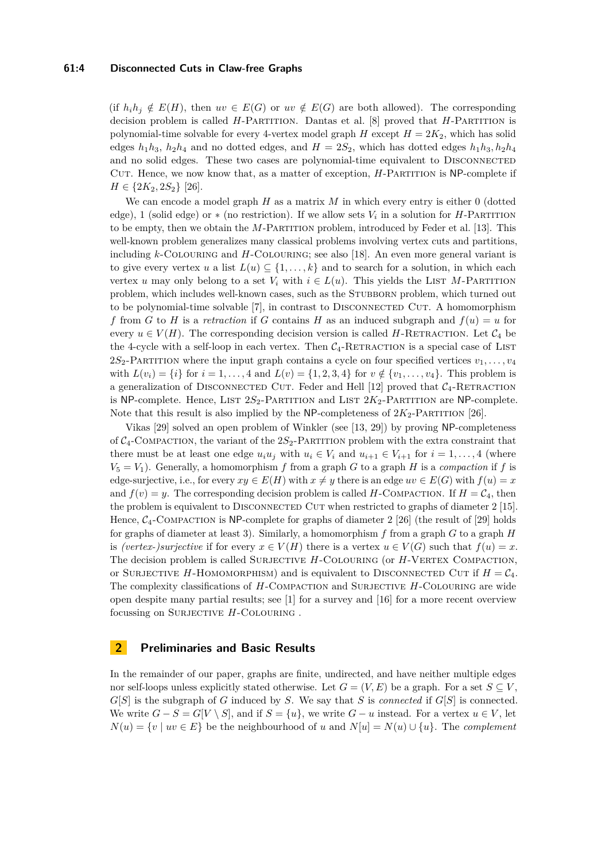(if  $h_i h_j \notin E(H)$ , then  $uv \in E(G)$  or  $uv \notin E(G)$  are both allowed). The corresponding decision problem is called *H*-Partition. Dantas et al. [\[8\]](#page-12-1) proved that *H*-Partition is polynomial-time solvable for every 4-vertex model graph  $H$  except  $H = 2K_2$ , which has solid edges  $h_1h_3$ ,  $h_2h_4$  and no dotted edges, and  $H = 2S_2$ , which has dotted edges  $h_1h_3$ ,  $h_2h_4$ and no solid edges. These two cases are polynomial-time equivalent to DISCONNECTED CUT. Hence, we now know that, as a matter of exception, *H*-PARTITION is NP-complete if  $H \in \{2K_2, 2S_2\}$  [\[26\]](#page-13-5).

We can encode a model graph *H* as a matrix *M* in which every entry is either 0 (dotted edge), 1 (solid edge) or  $*$  (no restriction). If we allow sets  $V_i$  in a solution for *H*-PARTITION to be empty, then we obtain the *M*-PARTITION problem, introduced by Feder et al. [\[13\]](#page-12-10). This well-known problem generalizes many classical problems involving vertex cuts and partitions, including *k*-Colouring and *H*-Colouring; see also [\[18\]](#page-13-10). An even more general variant is to give every vertex *u* a list  $L(u) \subseteq \{1, \ldots, k\}$  and to search for a solution, in which each vertex *u* may only belong to a set  $V_i$  with  $i \in L(u)$ . This yields the LIST M-PARTITION problem, which includes well-known cases, such as the STUBBORN problem, which turned out to be polynomial-time solvable [\[7\]](#page-12-11), in contrast to DISCONNECTED CUT. A homomorphism *f* from *G* to *H* is a *retraction* if *G* contains *H* as an induced subgraph and  $f(u) = u$  for every  $u \in V(H)$ . The corresponding decision version is called *H*-RETRACTION. Let  $\mathcal{C}_4$  be the 4-cycle with a self-loop in each vertex. Then  $C_4$ -RETRACTION is a special case of LIST 2*S*<sub>2</sub>-PARTITION where the input graph contains a cycle on four specified vertices  $v_1, \ldots, v_4$ with  $L(v_i) = \{i\}$  for  $i = 1, ..., 4$  and  $L(v) = \{1, 2, 3, 4\}$  for  $v \notin \{v_1, ..., v_4\}$ . This problem is a generalization of DISCONNECTED CUT. Feder and Hell  $[12]$  proved that  $C_4$ -RETRACTION is NP-complete. Hence, LIST  $2S_2$ -PARTITION and LIST  $2K_2$ -PARTITION are NP-complete. Note that this result is also implied by the NP-completeness of  $2K_2$ -PARTITION [\[26\]](#page-13-5).

Vikas [\[29\]](#page-13-11) solved an open problem of Winkler (see [\[13,](#page-12-10) [29\]](#page-13-11)) by proving NP-completeness of  $C_4$ -COMPACTION, the variant of the  $2S_2$ -PARTITION problem with the extra constraint that there must be at least one edge  $u_i u_j$  with  $u_i \in V_i$  and  $u_{i+1} \in V_{i+1}$  for  $i = 1, \ldots, 4$  (where  $V_5 = V_1$ ). Generally, a homomorphism *f* from a graph *G* to a graph *H* is a *compaction* if *f* is edge-surjective, i.e., for every  $xy \in E(H)$  with  $x \neq y$  there is an edge  $uv \in E(G)$  with  $f(u) = x$ and  $f(v) = y$ . The corresponding decision problem is called *H*-COMPACTION. If  $H = C<sub>4</sub>$ , then the problem is equivalent to DISCONNECTED CUT when restricted to graphs of diameter 2 [\[15\]](#page-12-0). Hence,  $C_4$ -Compaction is NP-complete for graphs of diameter 2 [\[26\]](#page-13-5) (the result of [\[29\]](#page-13-11) holds for graphs of diameter at least 3). Similarly, a homomorphism *f* from a graph *G* to a graph *H* is *(vertex-)surjective* if for every  $x \in V(H)$  there is a vertex  $u \in V(G)$  such that  $f(u) = x$ . The decision problem is called SURJECTIVE *H*-COLOURING (or *H*-VERTEX COMPACTION, or SURJECTIVE *H*-HOMOMORPHISM) and is equivalent to DISCONNECTED CUT if  $H = C_4$ . The complexity classifications of *H*-Compaction and Surjective *H*-Colouring are wide open despite many partial results; see [\[1\]](#page-12-13) for a survey and [\[16\]](#page-12-14) for a more recent overview focussing on SURJECTIVE *H*-COLOURING.

## **2 Preliminaries and Basic Results**

In the remainder of our paper, graphs are finite, undirected, and have neither multiple edges nor self-loops unless explicitly stated otherwise. Let  $G = (V, E)$  be a graph. For a set  $S \subseteq V$ ,  $G[S]$  is the subgraph of *G* induced by *S*. We say that *S* is *connected* if  $G[S]$  is connected. We write  $G - S = G[V \setminus S]$ , and if  $S = \{u\}$ , we write  $G - u$  instead. For a vertex  $u \in V$ , let  $N(u) = \{v \mid uv \in E\}$  be the neighbourhood of *u* and  $N[u] = N(u) \cup \{u\}$ . The *complement*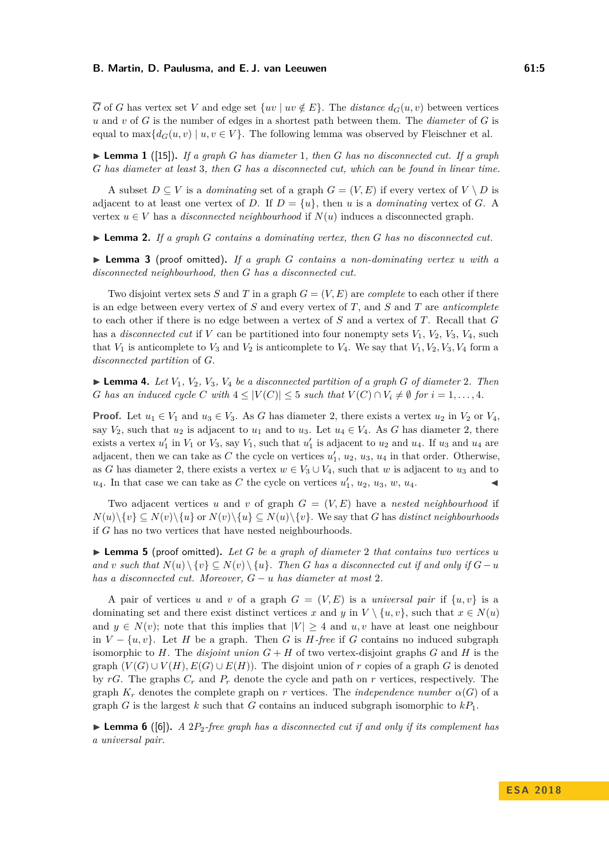$\overline{G}$  of *G* has vertex set *V* and edge set  $\{uv \mid uv \notin E\}$ . The *distance*  $d_G(u, v)$  between vertices *u* and *v* of *G* is the number of edges in a shortest path between them. The *diameter* of *G* is equal to max $\{d_G(u, v) \mid u, v \in V\}$ . The following lemma was observed by Fleischner et al.

<span id="page-4-1"></span> $\blacktriangleright$  **Lemma 1** ([\[15\]](#page-12-0)). If a graph *G* has diameter 1, then *G* has no disconnected cut. If a graph *G has diameter at least* 3*, then G has a disconnected cut, which can be found in linear time.*

A subset  $D \subseteq V$  is a *dominating* set of a graph  $G = (V, E)$  if every vertex of  $V \setminus D$  is adjacent to at least one vertex of *D*. If  $D = \{u\}$ , then *u* is a *dominating* vertex of *G*. A vertex  $u \in V$  has a *disconnected neighbourhood* if  $N(u)$  induces a disconnected graph.

<span id="page-4-2"></span>I **Lemma 2.** *If a graph G contains a dominating vertex, then G has no disconnected cut.*

<span id="page-4-3"></span>I **Lemma 3** (proof omitted)**.** *If a graph G contains a non-dominating vertex u with a disconnected neighbourhood, then G has a disconnected cut.*

Two disjoint vertex sets *S* and *T* in a graph  $G = (V, E)$  are *complete* to each other if there is an edge between every vertex of *S* and every vertex of *T*, and *S* and *T* are *anticomplete* to each other if there is no edge between a vertex of *S* and a vertex of *T*. Recall that *G* has a *disconnected cut* if *V* can be partitioned into four nonempty sets  $V_1$ ,  $V_2$ ,  $V_3$ ,  $V_4$ , such that  $V_1$  is anticomplete to  $V_3$  and  $V_2$  is anticomplete to  $V_4$ . We say that  $V_1, V_2, V_3, V_4$  form a *disconnected partition* of *G*.

<span id="page-4-0"></span> $\blacktriangleright$  **Lemma 4.** Let  $V_1$ ,  $V_2$ ,  $V_3$ ,  $V_4$  be a disconnected partition of a graph G of diameter 2. Then *G* has an induced cycle *C* with  $4 \leq |V(C)| \leq 5$  such that  $V(C) \cap V_i \neq \emptyset$  for  $i = 1, \ldots, 4$ .

**Proof.** Let  $u_1 \in V_1$  and  $u_3 \in V_3$ . As *G* has diameter 2, there exists a vertex  $u_2$  in  $V_2$  or  $V_4$ , say  $V_2$ , such that  $u_2$  is adjacent to  $u_1$  and to  $u_3$ . Let  $u_4 \in V_4$ . As *G* has diameter 2, there exists a vertex  $u'_1$  in  $V_1$  or  $V_3$ , say  $V_1$ , such that  $u'_1$  is adjacent to  $u_2$  and  $u_4$ . If  $u_3$  and  $u_4$  are adjacent, then we can take as  $C$  the cycle on vertices  $u'_1, u_2, u_3, u_4$  in that order. Otherwise, as *G* has diameter 2, there exists a vertex  $w \in V_3 \cup V_4$ , such that *w* is adjacent to  $u_3$  and to  $u_4$ . In that case we can take as *C* the cycle on vertices  $u'_1$ ,  $u_2$ ,  $u_3$ ,  $w$ ,  $u_4$ .

Two adjacent vertices *u* and *v* of graph  $G = (V, E)$  have a *nested neighbourhood* if  $N(u)\setminus \{v\} \subseteq N(v)\setminus \{u\}$  or  $N(v)\setminus \{u\} \subseteq N(u)\setminus \{v\}$ . We say that *G* has *distinct neighbourhoods* if *G* has no two vertices that have nested neighbourhoods.

<span id="page-4-5"></span>I **Lemma 5** (proof omitted)**.** *Let G be a graph of diameter* 2 *that contains two vertices u and v* such that  $N(u) \setminus \{v\} \subseteq N(v) \setminus \{u\}$ . Then *G* has a disconnected cut if and only if  $G - u$ *has a disconnected cut. Moreover, G* − *u has diameter at most* 2*.*

A pair of vertices *u* and *v* of a graph  $G = (V, E)$  is a *universal pair* if  $\{u, v\}$  is a dominating set and there exist distinct vertices *x* and *y* in  $V \setminus \{u, v\}$ , such that  $x \in N(u)$ and  $y \in N(v)$ ; note that this implies that  $|V| \geq 4$  and  $u, v$  have at least one neighbour in  $V - \{u, v\}$ . Let *H* be a graph. Then *G* is *H*-free if *G* contains no induced subgraph isomorphic to  $H$ . The *disjoint union*  $G + H$  of two vertex-disjoint graphs  $G$  and  $H$  is the graph  $(V(G) \cup V(H), E(G) \cup E(H))$ . The disjoint union of *r* copies of a graph *G* is denoted by  $rG$ . The graphs  $C_r$  and  $P_r$  denote the cycle and path on  $r$  vertices, respectively. The graph  $K_r$  denotes the complete graph on *r* vertices. The *independence number*  $\alpha(G)$  of a graph *G* is the largest *k* such that *G* contains an induced subgraph isomorphic to  $kP_1$ .

<span id="page-4-4"></span>**Lemma 6** ([\[6\]](#page-12-2)). A 2 $P_2$ -free graph has a disconnected cut if and only if its complement has *a universal pair.*

**E S A 2 0 1 8**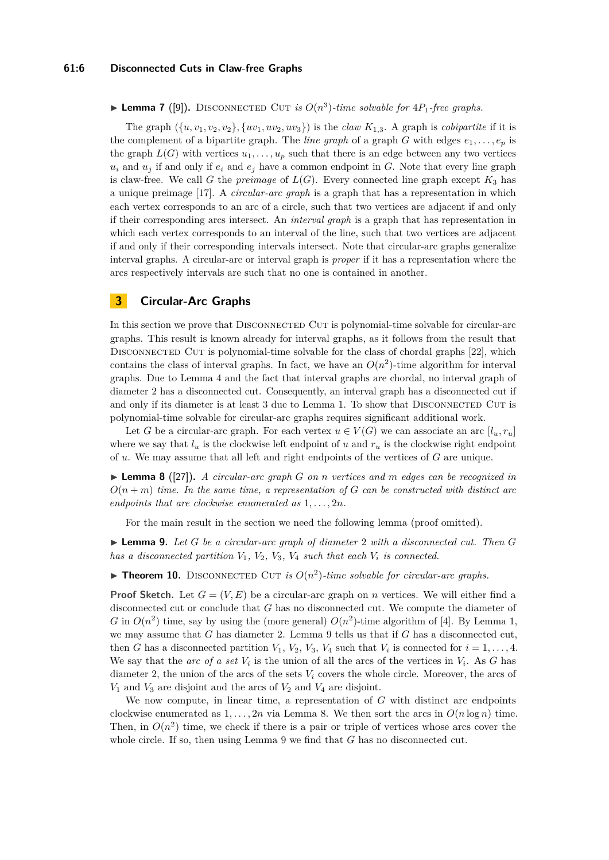#### **61:6 Disconnected Cuts in Claw-free Graphs**

## <span id="page-5-2"></span>**Example 7** ([\[9\]](#page-12-3)). DISCONNECTED CUT *is*  $O(n^3)$ -time solvable for  $4P_1$ -free graphs.

The graph  $(\{u, v_1, v_2, v_2\}, \{uv_1, uv_2, uv_3\})$  is the *claw*  $K_{1,3}$ . A graph is *cobipartite* if it is the complement of a bipartite graph. The *line graph* of a graph *G* with edges  $e_1, \ldots, e_p$  is the graph  $L(G)$  with vertices  $u_1, \ldots, u_p$  such that there is an edge between any two vertices  $u_i$  and  $u_j$  if and only if  $e_i$  and  $e_j$  have a common endpoint in *G*. Note that every line graph is claw-free. We call *G* the *preimage* of  $L(G)$ . Every connected line graph except  $K_3$  has a unique preimage [\[17\]](#page-12-15). A *circular-arc graph* is a graph that has a representation in which each vertex corresponds to an arc of a circle, such that two vertices are adjacent if and only if their corresponding arcs intersect. An *interval graph* is a graph that has representation in which each vertex corresponds to an interval of the line, such that two vertices are adjacent if and only if their corresponding intervals intersect. Note that circular-arc graphs generalize interval graphs. A circular-arc or interval graph is *proper* if it has a representation where the arcs respectively intervals are such that no one is contained in another.

## **3 Circular-Arc Graphs**

In this section we prove that DISCONNECTED CUT is polynomial-time solvable for circular-arc graphs. This result is known already for interval graphs, as it follows from the result that DISCONNECTED CUT is polynomial-time solvable for the class of chordal graphs [\[22\]](#page-13-1), which contains the class of interval graphs. In fact, we have an  $O(n^2)$ -time algorithm for interval graphs. Due to Lemma [4](#page-4-0) and the fact that interval graphs are chordal, no interval graph of diameter 2 has a disconnected cut. Consequently, an interval graph has a disconnected cut if and only if its diameter is at least 3 due to Lemma [1.](#page-4-1) To show that DISCONNECTED CUT is polynomial-time solvable for circular-arc graphs requires significant additional work.

Let *G* be a circular-arc graph. For each vertex  $u \in V(G)$  we can associate an arc  $[l_u, r_u]$ where we say that  $l_u$  is the clockwise left endpoint of *u* and  $r_u$  is the clockwise right endpoint of *u*. We may assume that all left and right endpoints of the vertices of *G* are unique.

<span id="page-5-1"></span>I **Lemma 8** ([\[27\]](#page-13-12))**.** *A circular-arc graph G on n vertices and m edges can be recognized in*  $O(n+m)$  *time. In the same time, a representation of G can be constructed with distinct arc endpoints that are clockwise enumerated as* 1*, . . . ,* 2*n.*

For the main result in the section we need the following lemma (proof omitted).

<span id="page-5-0"></span>I **Lemma 9.** *Let G be a circular-arc graph of diameter* 2 *with a disconnected cut. Then G has a disconnected partition*  $V_1$ ,  $V_2$ ,  $V_3$ ,  $V_4$  *such that each*  $V_i$  *is connected.* 

<span id="page-5-3"></span>**Theorem 10.** DISCONNECTED CUT *is*  $O(n^2)$ -time solvable for circular-arc graphs.

**Proof Sketch.** Let  $G = (V, E)$  be a circular-arc graph on *n* vertices. We will either find a disconnected cut or conclude that *G* has no disconnected cut. We compute the diameter of *G* in  $O(n^2)$  time, say by using the (more general)  $O(n^2)$ -time algorithm of [\[4\]](#page-12-16). By Lemma [1,](#page-4-1) we may assume that *G* has diameter 2. Lemma [9](#page-5-0) tells us that if *G* has a disconnected cut, then *G* has a disconnected partition  $V_1$ ,  $V_2$ ,  $V_3$ ,  $V_4$  such that  $V_i$  is connected for  $i = 1, \ldots, 4$ . We say that the *arc* of a set  $V_i$  is the union of all the arcs of the vertices in  $V_i$ . As G has diameter 2, the union of the arcs of the sets  $V_i$  covers the whole circle. Moreover, the arcs of  $V_1$  and  $V_3$  are disjoint and the arcs of  $V_2$  and  $V_4$  are disjoint.

We now compute, in linear time, a representation of *G* with distinct arc endpoints clockwise enumerated as  $1, \ldots, 2n$  via Lemma [8.](#page-5-1) We then sort the arcs in  $O(n \log n)$  time. Then, in  $O(n^2)$  time, we check if there is a pair or triple of vertices whose arcs cover the whole circle. If so, then using Lemma [9](#page-5-0) we find that *G* has no disconnected cut.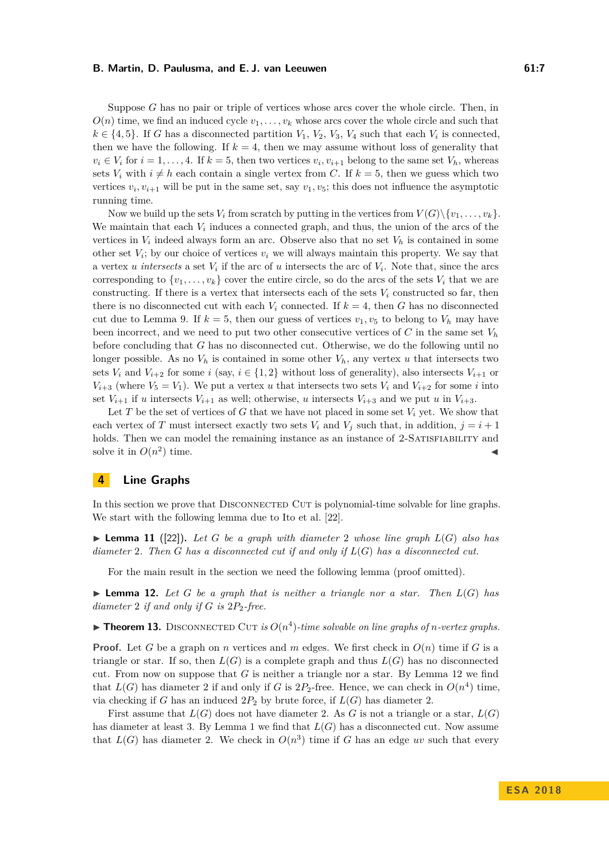Suppose *G* has no pair or triple of vertices whose arcs cover the whole circle. Then, in  $O(n)$  time, we find an induced cycle  $v_1, \ldots, v_k$  whose arcs cover the whole circle and such that  $k \in \{4, 5\}$ . If *G* has a disconnected partition  $V_1$ ,  $V_2$ ,  $V_3$ ,  $V_4$  such that each  $V_i$  is connected, then we have the following. If  $k = 4$ , then we may assume without loss of generality that  $v_i \in V_i$  for  $i = 1, \ldots, 4$ . If  $k = 5$ , then two vertices  $v_i, v_{i+1}$  belong to the same set  $V_h$ , whereas sets  $V_i$  with  $i \neq h$  each contain a single vertex from C. If  $k = 5$ , then we guess which two vertices  $v_i, v_{i+1}$  will be put in the same set, say  $v_1, v_5$ ; this does not influence the asymptotic running time.

Now we build up the sets  $V_i$  from scratch by putting in the vertices from  $V(G) \setminus \{v_1, \ldots, v_k\}$ . We maintain that each  $V_i$  induces a connected graph, and thus, the union of the arcs of the vertices in  $V_i$  indeed always form an arc. Observe also that no set  $V_h$  is contained in some other set  $V_i$ ; by our choice of vertices  $v_i$  we will always maintain this property. We say that a vertex *u intersects* a set *V<sup>i</sup>* if the arc of *u* intersects the arc of *V<sup>i</sup>* . Note that, since the arcs corresponding to  $\{v_1, \ldots, v_k\}$  cover the entire circle, so do the arcs of the sets  $V_i$  that we are constructing. If there is a vertex that intersects each of the sets  $V_i$  constructed so far, then there is no disconnected cut with each  $V_i$  connected. If  $k = 4$ , then G has no disconnected cut due to Lemma [9.](#page-5-0) If  $k = 5$ , then our guess of vertices  $v_1, v_5$  to belong to  $V_h$  may have been incorrect, and we need to put two other consecutive vertices of  $C$  in the same set  $V_h$ before concluding that *G* has no disconnected cut. Otherwise, we do the following until no longer possible. As no  $V_h$  is contained in some other  $V_h$ , any vertex *u* that intersects two sets  $V_i$  and  $V_{i+2}$  for some *i* (say,  $i \in \{1,2\}$  without loss of generality), also intersects  $V_{i+1}$  or  $V_{i+3}$  (where  $V_5 = V_1$ ). We put a vertex *u* that intersects two sets  $V_i$  and  $V_{i+2}$  for some *i* into set  $V_{i+1}$  if *u* intersects  $V_{i+1}$  as well; otherwise, *u* intersects  $V_{i+3}$  and we put *u* in  $V_{i+3}$ .

Let *T* be the set of vertices of *G* that we have not placed in some set  $V_i$  yet. We show that each vertex of *T* must intersect exactly two sets  $V_i$  and  $V_j$  such that, in addition,  $j = i + 1$ holds. Then we can model the remaining instance as an instance of 2-SATISFIABILITY and solve it in  $O(n^2)$ ) time.  $\blacksquare$ 

## **4 Line Graphs**

In this section we prove that DISCONNECTED CUT is polynomial-time solvable for line graphs. We start with the following lemma due to Ito et al. [\[22\]](#page-13-1).

<span id="page-6-1"></span> $\blacktriangleright$  **Lemma 11** ([\[22\]](#page-13-1)). Let *G* be a graph with diameter 2 whose line graph  $L(G)$  also has *diameter* 2*. Then G has a disconnected cut if and only if L*(*G*) *has a disconnected cut.*

For the main result in the section we need the following lemma (proof omitted).

<span id="page-6-0"></span> $\blacktriangleright$  **Lemma 12.** Let *G* be a graph that is neither a triangle nor a star. Then  $L(G)$  has *diameter* 2 *if and only if G is* 2*P*2*-free.*

<span id="page-6-2"></span>**Fheorem 13.** DISCONNECTED CUT *is*  $O(n^4)$ -time solvable on line graphs of *n*-vertex graphs.

**Proof.** Let *G* be a graph on *n* vertices and *m* edges. We first check in  $O(n)$  time if *G* is a triangle or star. If so, then  $L(G)$  is a complete graph and thus  $L(G)$  has no disconnected cut. From now on suppose that *G* is neither a triangle nor a star. By Lemma [12](#page-6-0) we find that  $L(G)$  has diameter 2 if and only if *G* is  $2P_2$ -free. Hence, we can check in  $O(n^4)$  time, via checking if *G* has an induced  $2P_2$  by brute force, if  $L(G)$  has diameter 2.

First assume that  $L(G)$  does not have diameter 2. As G is not a triangle or a star,  $L(G)$ has diameter at least 3. By Lemma [1](#page-4-1) we find that  $L(G)$  has a disconnected cut. Now assume that  $L(G)$  has diameter 2. We check in  $O(n^3)$  time if *G* has an edge *uv* such that every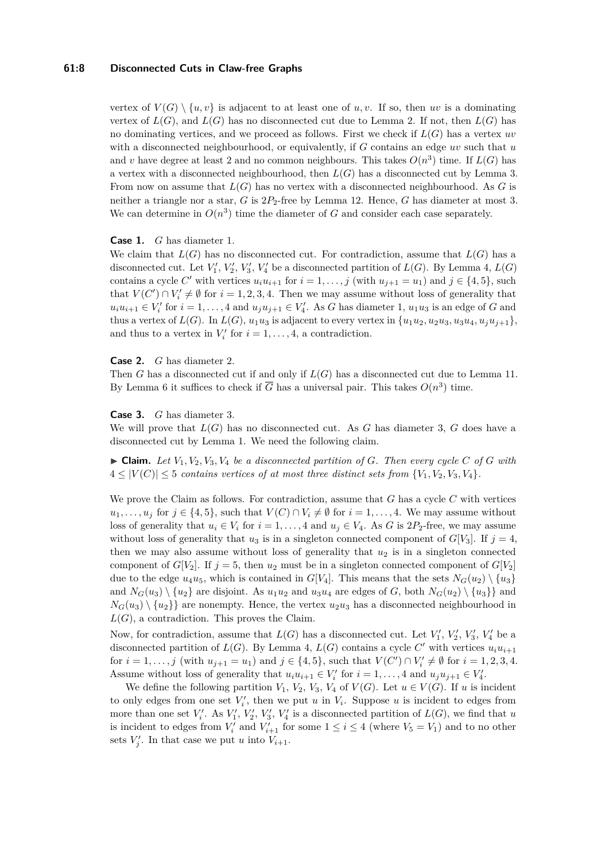## **61:8 Disconnected Cuts in Claw-free Graphs**

vertex of  $V(G) \setminus \{u, v\}$  is adjacent to at least one of *u, v*. If so, then *uv* is a dominating vertex of  $L(G)$ , and  $L(G)$  has no disconnected cut due to Lemma [2.](#page-4-2) If not, then  $L(G)$  has no dominating vertices, and we proceed as follows. First we check if *L*(*G*) has a vertex *uv* with a disconnected neighbourhood, or equivalently, if *G* contains an edge *uv* such that *u* and *v* have degree at least 2 and no common neighbours. This takes  $O(n^3)$  time. If  $L(G)$  has a vertex with a disconnected neighbourhood, then  $L(G)$  has a disconnected cut by Lemma [3.](#page-4-3) From now on assume that *L*(*G*) has no vertex with a disconnected neighbourhood. As *G* is neither a triangle nor a star, *G* is 2*P*2-free by Lemma [12.](#page-6-0) Hence, *G* has diameter at most 3. We can determine in  $O(n^3)$  time the diameter of *G* and consider each case separately.

## **Case 1.** *G* has diameter 1.

We claim that  $L(G)$  has no disconnected cut. For contradiction, assume that  $L(G)$  has a disconnected cut. Let  $V'_1$ ,  $V'_2$ ,  $V'_3$ ,  $V'_4$  be a disconnected partition of  $L(G)$ . By Lemma [4,](#page-4-0)  $L(G)$ contains a cycle *C'* with vertices  $u_i u_{i+1}$  for  $i = 1, \ldots, j$  (with  $u_{j+1} = u_1$ ) and  $j \in \{4, 5\}$ , such that  $V(C') \cap V'_i \neq \emptyset$  for  $i = 1, 2, 3, 4$ . Then we may assume without loss of generality that  $u_i u_{i+1} \in V_i'$  for  $i = 1, \ldots, 4$  and  $u_j u_{j+1} \in V_i'$ . As *G* has diameter 1,  $u_1 u_3$  is an edge of *G* and thus a vertex of  $L(G)$ . In  $L(G)$ ,  $u_1u_3$  is adjacent to every vertex in  $\{u_1u_2, u_2u_3, u_3u_4, u_iu_{i+1}\},\$ and thus to a vertex in  $V_i'$  for  $i = 1, \ldots, 4$ , a contradiction.

#### **Case 2.** *G* has diameter 2.

Then *G* has a disconnected cut if and only if  $L(G)$  has a disconnected cut due to Lemma [11.](#page-6-1) By Lemma [6](#page-4-4) it suffices to check if  $\overline{G}$  has a universal pair. This takes  $O(n^3)$  time.

#### **Case 3.** *G* has diameter 3.

We will prove that  $L(G)$  has no disconnected cut. As  $G$  has diameter 3,  $G$  does have a disconnected cut by Lemma [1.](#page-4-1) We need the following claim.

 $\triangleright$  **Claim.** Let  $V_1, V_2, V_3, V_4$  be a disconnected partition of G. Then every cycle C of G with  $4 \leq |V(C)| \leq 5$  *contains vertices of at most three distinct sets from*  $\{V_1, V_2, V_3, V_4\}.$ 

We prove the Claim as follows. For contradiction, assume that *G* has a cycle *C* with vertices *u*<sub>1</sub>*, . . . , u<sub>j</sub>* for *j* ∈ {4*,* 5}*,* such that *V*(*C*) ∩ *V<sub>i</sub>* ≠ Ø for *i* = 1*, . . .* , 4. We may assume without loss of generality that  $u_i \in V_i$  for  $i = 1, \ldots, 4$  and  $u_j \in V_4$ . As *G* is 2*P*<sub>2</sub>-free, we may assume without loss of generality that  $u_3$  is in a singleton connected component of  $G[V_3]$ . If  $j = 4$ , then we may also assume without loss of generality that  $u_2$  is in a singleton connected component of *G*[*V*<sub>2</sub>]. If  $j = 5$ , then  $u_2$  must be in a singleton connected component of  $G[V_2]$ due to the edge  $u_4u_5$ , which is contained in  $G[V_4]$ . This means that the sets  $N_G(u_2) \setminus \{u_3\}$ and  $N_G(u_3) \setminus \{u_2\}$  are disjoint. As  $u_1u_2$  and  $u_3u_4$  are edges of *G*, both  $N_G(u_2) \setminus \{u_3\}$  and  $N_G(u_3) \setminus \{u_2\}\}\$ are nonempty. Hence, the vertex  $u_2u_3$  has a disconnected neighbourhood in  $L(G)$ , a contradiction. This proves the Claim.

Now, for contradiction, assume that  $L(G)$  has a disconnected cut. Let  $V'_1$ ,  $V'_2$ ,  $V'_3$ ,  $V'_4$  be a disconnected partition of  $L(G)$ . By Lemma [4,](#page-4-0)  $L(G)$  contains a cycle  $C'$  with vertices  $u_i u_{i+1}$ for  $i = 1, ..., j$  (with  $u_{j+1} = u_1$ ) and  $j \in \{4, 5\}$ , such that  $V(C') \cap V'_i \neq \emptyset$  for  $i = 1, 2, 3, 4$ . Assume without loss of generality that  $u_i u_{i+1} \in V'_i$  for  $i = 1, ..., 4$  and  $u_j u_{j+1} \in V'_4$ .

We define the following partition  $V_1$ ,  $V_2$ ,  $V_3$ ,  $V_4$  of  $V(G)$ . Let  $u \in V(G)$ . If  $u$  is incident to only edges from one set  $V_i'$ , then we put *u* in  $V_i$ . Suppose *u* is incident to edges from more than one set  $V'_i$ . As  $V'_1$ ,  $V'_2$ ,  $V'_3$ ,  $V'_4$  is a disconnected partition of  $L(G)$ , we find that *u* is incident to edges from  $V_i'$  and  $V_{i+1}'$  for some  $1 \leq i \leq 4$  (where  $V_5 = V_1$ ) and to no other sets  $V'_j$ . In that case we put *u* into  $V_{i+1}$ .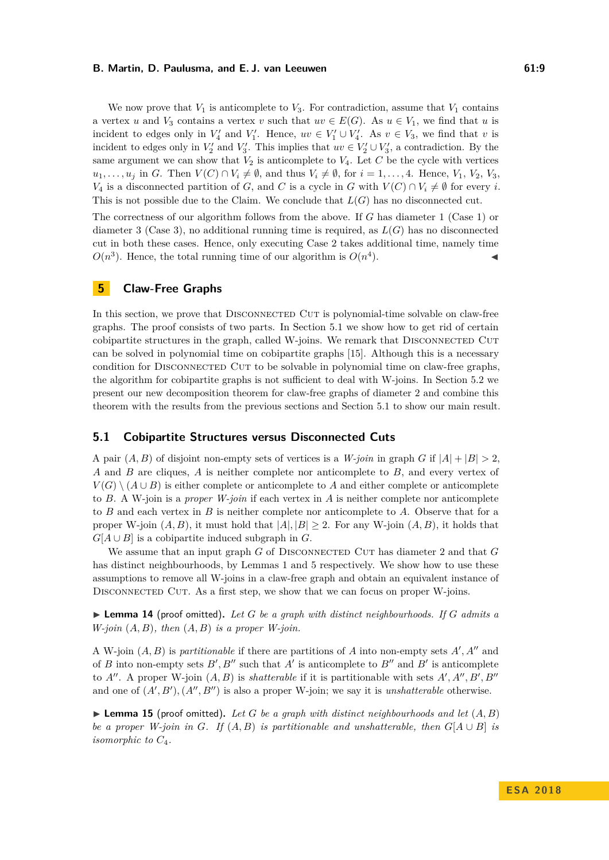We now prove that  $V_1$  is anticomplete to  $V_3$ . For contradiction, assume that  $V_1$  contains a vertex *u* and  $V_3$  contains a vertex *v* such that  $uv \in E(G)$ . As  $u \in V_1$ , we find that *u* is incident to edges only in  $V'_4$  and  $V'_1$ . Hence,  $uv \in V'_1 \cup V'_4$ . As  $v \in V_3$ , we find that *v* is incident to edges only in  $V_2'$  and  $V_3'$ . This implies that  $uv \in V_2' \cup V_3'$ , a contradiction. By the same argument we can show that  $V_2$  is anticomplete to  $V_4$ . Let C be the cycle with vertices  $u_1, \ldots, u_j$  in *G*. Then  $V(C) \cap V_i \neq \emptyset$ , and thus  $V_i \neq \emptyset$ , for  $i = 1, \ldots, 4$ . Hence,  $V_1, V_2, V_3$ , *V*<sub>4</sub> is a disconnected partition of *G*, and *C* is a cycle in *G* with  $V(C) \cap V_i \neq \emptyset$  for every *i*. This is not possible due to the Claim. We conclude that *L*(*G*) has no disconnected cut.

The correctness of our algorithm follows from the above. If *G* has diameter 1 (Case 1) or diameter 3 (Case 3), no additional running time is required, as *L*(*G*) has no disconnected cut in both these cases. Hence, only executing Case 2 takes additional time, namely time  $O(n^3)$ . Hence, the total running time of our algorithm is  $O(n^4)$  $\blacksquare$ ).

## **5 Claw-Free Graphs**

In this section, we prove that DISCONNECTED CUT is polynomial-time solvable on claw-free graphs. The proof consists of two parts. In Section [5.1](#page-8-0) we show how to get rid of certain cobipartite structures in the graph, called W-joins. We remark that DISCONNECTED CUT can be solved in polynomial time on cobipartite graphs [\[15\]](#page-12-0). Although this is a necessary condition for Disconnected Cut to be solvable in polynomial time on claw-free graphs, the algorithm for cobipartite graphs is not sufficient to deal with W-joins. In Section [5.2](#page-10-0) we present our new decomposition theorem for claw-free graphs of diameter 2 and combine this theorem with the results from the previous sections and Section [5.1](#page-8-0) to show our main result.

## <span id="page-8-0"></span>**5.1 Cobipartite Structures versus Disconnected Cuts**

A pair  $(A, B)$  of disjoint non-empty sets of vertices is a *W-join* in graph *G* if  $|A| + |B| > 2$ . *A* and *B* are cliques, *A* is neither complete nor anticomplete to *B*, and every vertex of  $V(G) \setminus (A \cup B)$  is either complete or anticomplete to *A* and either complete or anticomplete to *B*. A W-join is a *proper W-join* if each vertex in *A* is neither complete nor anticomplete to *B* and each vertex in *B* is neither complete nor anticomplete to *A*. Observe that for a proper W-join  $(A, B)$ , it must hold that  $|A|, |B| \geq 2$ . For any W-join  $(A, B)$ , it holds that  $G[A \cup B]$  is a cobipartite induced subgraph in *G*.

We assume that an input graph *G* of DISCONNECTED CUT has diameter 2 and that *G* has distinct neighbourhoods, by Lemmas [1](#page-4-1) and [5](#page-4-5) respectively. We show how to use these assumptions to remove all W-joins in a claw-free graph and obtain an equivalent instance of DISCONNECTED CUT. As a first step, we show that we can focus on proper W-joins.

<span id="page-8-2"></span> $\blacktriangleright$  **Lemma 14** (proof omitted). Let G be a graph with distinct neighbourhoods. If G admits a *W-join* (*A, B*)*, then* (*A, B*) *is a proper W-join.*

A W-join  $(A, B)$  is *partitionable* if there are partitions of A into non-empty sets  $A', A''$  and of *B* into non-empty sets  $B', B''$  such that  $A'$  is anticomplete to  $B''$  and  $B'$  is anticomplete to  $A''$ . A proper W-join  $(A, B)$  is *shatterable* if it is partitionable with sets  $A', A'', B', B''$ and one of  $(A', B'), (A'', B'')$  is also a proper W-join; we say it is *unshatterable* otherwise.

<span id="page-8-1"></span> $\blacktriangleright$  **Lemma 15** (proof omitted). Let G be a graph with distinct neighbourhoods and let  $(A, B)$ *be a proper W-join in G. If*  $(A, B)$  *is partitionable and unshatterable, then*  $G[A \cup B]$  *is isomorphic to C*4*.*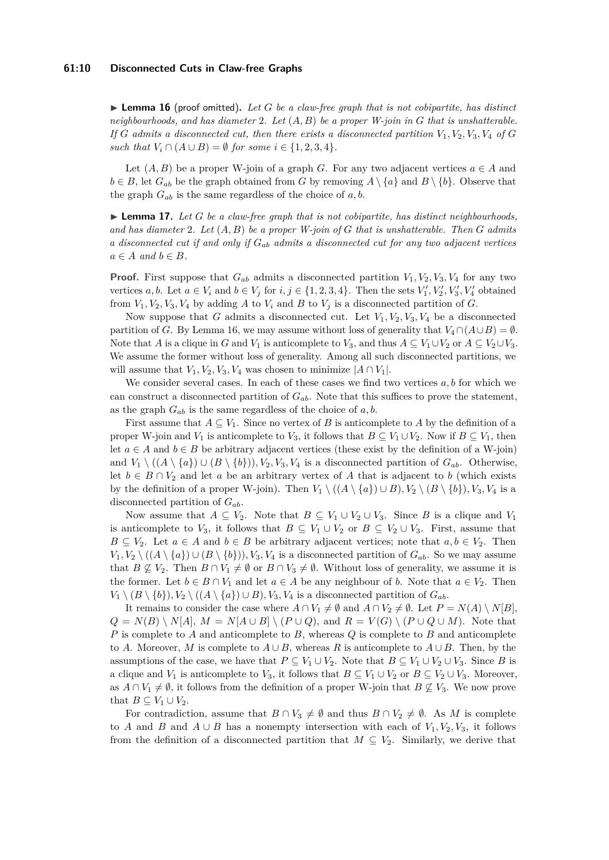<span id="page-9-0"></span> $\blacktriangleright$  **Lemma 16** (proof omitted). Let G be a claw-free graph that is not cobipartite, has distinct *neighbourhoods, and has diameter* 2*. Let* (*A, B*) *be a proper W-join in G that is unshatterable.* If *G* admits a disconnected cut, then there exists a disconnected partition  $V_1, V_2, V_3, V_4$  of *G such that*  $V_i \cap (A \cup B) = \emptyset$  *for some*  $i \in \{1, 2, 3, 4\}.$ 

Let  $(A, B)$  be a proper W-join of a graph *G*. For any two adjacent vertices  $a \in A$  and  $b \in B$ , let  $G_{ab}$  be the graph obtained from *G* by removing  $A \setminus \{a\}$  and  $B \setminus \{b\}$ . Observe that the graph  $G_{ab}$  is the same regardless of the choice of  $a, b$ .

<span id="page-9-1"></span> $\blacktriangleright$  **Lemma 17.** Let *G* be a claw-free graph that is not cobipartite, has distinct neighbourhoods, *and has diameter* 2*. Let* (*A, B*) *be a proper W-join of G that is unshatterable. Then G admits a disconnected cut if and only if Gab admits a disconnected cut for any two adjacent vertices*  $a \in A$  *and*  $b \in B$ *.* 

**Proof.** First suppose that  $G_{ab}$  admits a disconnected partition  $V_1, V_2, V_3, V_4$  for any two vertices *a*, *b*. Let  $a \in V_i$  and  $b \in V_j$  for  $i, j \in \{1, 2, 3, 4\}$ . Then the sets  $V'_1, V'_2, V'_3, V'_4$  obtained from  $V_1, V_2, V_3, V_4$  by adding A to  $V_i$  and B to  $V_j$  is a disconnected partition of G.

Now suppose that *G* admits a disconnected cut. Let  $V_1, V_2, V_3, V_4$  be a disconnected partition of *G*. By Lemma [16,](#page-9-0) we may assume without loss of generality that  $V_4 \cap (A \cup B) = \emptyset$ . Note that *A* is a clique in *G* and *V*<sub>1</sub> is anticomplete to *V*<sub>3</sub>, and thus  $A \subseteq V_1 \cup V_2$  or  $A \subseteq V_2 \cup V_3$ . We assume the former without loss of generality. Among all such disconnected partitions, we will assume that  $V_1, V_2, V_3, V_4$  was chosen to minimize  $|A \cap V_1|$ .

We consider several cases. In each of these cases we find two vertices *a, b* for which we can construct a disconnected partition of *Gab*. Note that this suffices to prove the statement, as the graph  $G_{ab}$  is the same regardless of the choice of  $a, b$ .

First assume that  $A \subseteq V_1$ . Since no vertex of *B* is anticomplete to *A* by the definition of a proper W-join and *V*<sub>1</sub> is anticomplete to *V*<sub>3</sub>, it follows that  $B \subseteq V_1 \cup V_2$ . Now if  $B \subseteq V_1$ , then let  $a \in A$  and  $b \in B$  be arbitrary adjacent vertices (these exist by the definition of a W-join) and  $V_1 \setminus ((A \setminus \{a\}) \cup (B \setminus \{b\})), V_2, V_3, V_4$  is a disconnected partition of  $G_{ab}$ . Otherwise, let  $b \in B \cap V_2$  and let *a* be an arbitrary vertex of *A* that is adjacent to *b* (which exists by the definition of a proper W-join). Then  $V_1 \setminus ((A \setminus \{a\}) \cup B), V_2 \setminus (B \setminus \{b\}), V_3, V_4$  is a disconnected partition of *Gab*.

Now assume that  $A \subseteq V_2$ . Note that  $B \subseteq V_1 \cup V_2 \cup V_3$ . Since *B* is a clique and  $V_1$ is anticomplete to  $V_3$ , it follows that  $B \subseteq V_1 \cup V_2$  or  $B \subseteq V_2 \cup V_3$ . First, assume that  $B \subseteq V_2$ . Let  $a \in A$  and  $b \in B$  be arbitrary adjacent vertices; note that  $a, b \in V_2$ . Then *V*<sub>1</sub>*, V*<sub>2</sub>  $\setminus$  ((*A*  $\setminus$  {*a*}) ∪ (*B*  $\setminus$  {*b*})*, V*<sub>3</sub>*, V*<sub>4</sub> is a disconnected partition of *G<sub>ab</sub>*. So we may assume that  $B \nsubseteq V_2$ . Then  $B \cap V_1 \neq \emptyset$  or  $B \cap V_3 \neq \emptyset$ . Without loss of generality, we assume it is the former. Let  $b \in B \cap V_1$  and let  $a \in A$  be any neighbour of *b*. Note that  $a \in V_2$ . Then *V*<sub>1</sub> \ (*B* \ {*b*})*, V*<sub>2</sub> \ ((*A* \ {*a*}) ∪ *B*)*, V*<sub>3</sub>*, V*<sub>4</sub> is a disconnected partition of *G*<sub>*ab*</sub>.

It remains to consider the case where  $A \cap V_1 \neq \emptyset$  and  $A \cap V_2 \neq \emptyset$ . Let  $P = N(A) \setminus N[B]$ ,  $Q = N(B) \setminus N[A], M = N[A \cup B] \setminus (P \cup Q),$  and  $R = V(G) \setminus (P \cup Q \cup M)$ . Note that *P* is complete to *A* and anticomplete to *B*, whereas *Q* is complete to *B* and anticomplete to *A*. Moreover, *M* is complete to  $A \cup B$ , whereas *R* is anticomplete to  $A \cup B$ . Then, by the assumptions of the case, we have that  $P \subseteq V_1 \cup V_2$ . Note that  $B \subseteq V_1 \cup V_2 \cup V_3$ . Since *B* is a clique and *V*<sub>1</sub> is anticomplete to *V*<sub>3</sub>, it follows that  $B \subseteq V_1 \cup V_2$  or  $B \subseteq V_2 \cup V_3$ . Moreover, as  $A \cap V_1 \neq \emptyset$ , it follows from the definition of a proper W-join that  $B \nsubseteq V_3$ . We now prove that  $B \subseteq V_1 \cup V_2$ .

For contradiction, assume that  $B \cap V_3 \neq \emptyset$  and thus  $B \cap V_2 \neq \emptyset$ . As M is complete to *A* and *B* and  $A \cup B$  has a nonempty intersection with each of  $V_1, V_2, V_3$ , it follows from the definition of a disconnected partition that  $M \subseteq V_2$ . Similarly, we derive that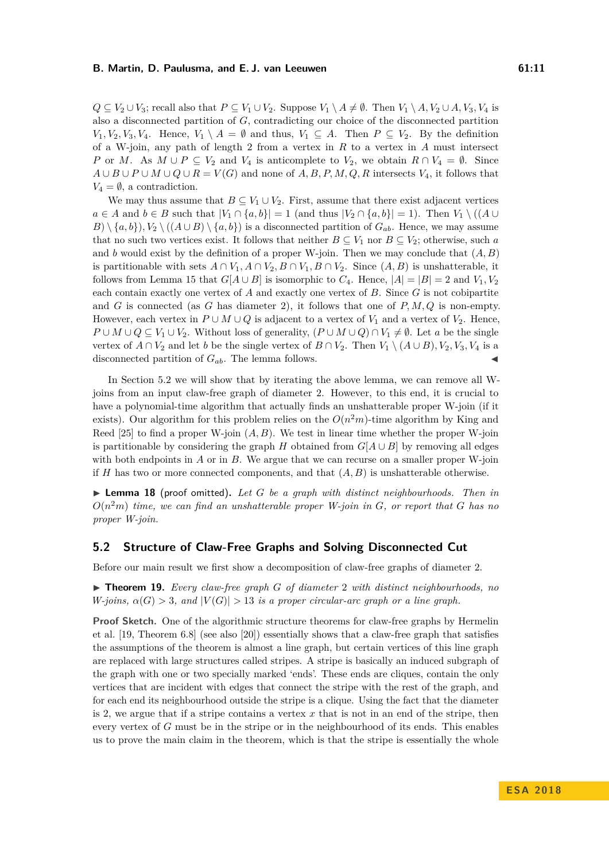*Q* ⊆ *V*<sub>2</sub> ∪ *V*<sub>3</sub>; recall also that *P* ⊆ *V*<sub>1</sub> ∪ *V*<sub>2</sub>. Suppose *V*<sub>1</sub> \ *A* ≠ Ø. Then *V*<sub>1</sub> \ *A, V*<sub>2</sub> ∪ *A, V*<sub>3</sub>, *V*<sub>4</sub> is also a disconnected partition of *G*, contradicting our choice of the disconnected partition  $V_1, V_2, V_3, V_4$ . Hence,  $V_1 \setminus A = \emptyset$  and thus,  $V_1 \subseteq A$ . Then  $P \subseteq V_2$ . By the definition of a W-join, any path of length 2 from a vertex in *R* to a vertex in *A* must intersect *P* or *M*. As  $M \cup P \subseteq V_2$  and  $V_4$  is anticomplete to  $V_2$ , we obtain  $R \cap V_4 = \emptyset$ . Since  $A \cup B \cup P \cup M \cup Q \cup R = V(G)$  and none of  $A, B, P, M, Q, R$  intersects  $V_4$ , it follows that  $V_4 = \emptyset$ , a contradiction.

We may thus assume that  $B \subseteq V_1 \cup V_2$ . First, assume that there exist adjacent vertices *a* ∈ *A* and *b* ∈ *B* such that  $|V_1 \cap \{a, b\}| = 1$  (and thus  $|V_2 \cap \{a, b\}| = 1$ ). Then  $V_1 \setminus ((A \cup$  $B \setminus \{a, b\}, V_2 \setminus ((A \cup B) \setminus \{a, b\})$  is a disconnected partition of  $G_{ab}$ . Hence, we may assume that no such two vertices exist. It follows that neither  $B \subseteq V_1$  nor  $B \subseteq V_2$ ; otherwise, such a and *b* would exist by the definition of a proper W-join. Then we may conclude that  $(A, B)$ is partitionable with sets  $A \cap V_1, A \cap V_2, B \cap V_1, B \cap V_2$ . Since  $(A, B)$  is unshatterable, it follows from Lemma [15](#page-8-1) that  $G[A \cup B]$  is isomorphic to  $C_4$ . Hence,  $|A| = |B| = 2$  and  $V_1, V_2$ each contain exactly one vertex of *A* and exactly one vertex of *B*. Since *G* is not cobipartite and *G* is connected (as *G* has diameter 2), it follows that one of *P, M, Q* is non-empty. However, each vertex in  $P \cup M \cup Q$  is adjacent to a vertex of  $V_1$  and a vertex of  $V_2$ . Hence, *P* ∪ *M* ∪  $Q \subseteq V_1 \cup V_2$ . Without loss of generality,  $(P \cup M \cup Q) \cap V_1 \neq \emptyset$ . Let *a* be the single vertex of  $A \cap V_2$  and let *b* be the single vertex of  $B \cap V_2$ . Then  $V_1 \setminus (A \cup B), V_2, V_3, V_4$  is a disconnected partition of  $G_{ab}$ . The lemma follows.

In Section [5.2](#page-10-0) we will show that by iterating the above lemma, we can remove all Wjoins from an input claw-free graph of diameter 2. However, to this end, it is crucial to have a polynomial-time algorithm that actually finds an unshatterable proper W-join (if it exists). Our algorithm for this problem relies on the  $O(n^2m)$ -time algorithm by King and Reed [\[25\]](#page-13-13) to find a proper W-join (*A, B*). We test in linear time whether the proper W-join is partitionable by considering the graph *H* obtained from  $G[A \cup B]$  by removing all edges with both endpoints in *A* or in *B*. We argue that we can recurse on a smaller proper W-join if *H* has two or more connected components, and that  $(A, B)$  is unshatterable otherwise.

<span id="page-10-1"></span> $\blacktriangleright$  **Lemma 18** (proof omitted). Let G be a graph with distinct neighbourhoods. Then in *O*(*n* <sup>2</sup>*m*) *time, we can find an unshatterable proper W-join in G, or report that G has no proper W-join.*

## <span id="page-10-0"></span>**5.2 Structure of Claw-Free Graphs and Solving Disconnected Cut**

Before our main result we first show a decomposition of claw-free graphs of diameter 2.

<span id="page-10-2"></span>▶ **Theorem 19.** *Every claw-free graph G* of diameter 2 *with distinct neighbourhoods, no W*-joins,  $\alpha(G) > 3$ , and  $|V(G)| > 13$  *is a proper circular-arc graph or a line graph.* 

**Proof Sketch.** One of the algorithmic structure theorems for claw-free graphs by Hermelin et al. [\[19,](#page-13-7) Theorem 6.8] (see also [\[20\]](#page-13-8)) essentially shows that a claw-free graph that satisfies the assumptions of the theorem is almost a line graph, but certain vertices of this line graph are replaced with large structures called stripes. A stripe is basically an induced subgraph of the graph with one or two specially marked 'ends'. These ends are cliques, contain the only vertices that are incident with edges that connect the stripe with the rest of the graph, and for each end its neighbourhood outside the stripe is a clique. Using the fact that the diameter is 2, we argue that if a stripe contains a vertex *x* that is not in an end of the stripe, then every vertex of *G* must be in the stripe or in the neighbourhood of its ends. This enables us to prove the main claim in the theorem, which is that the stripe is essentially the whole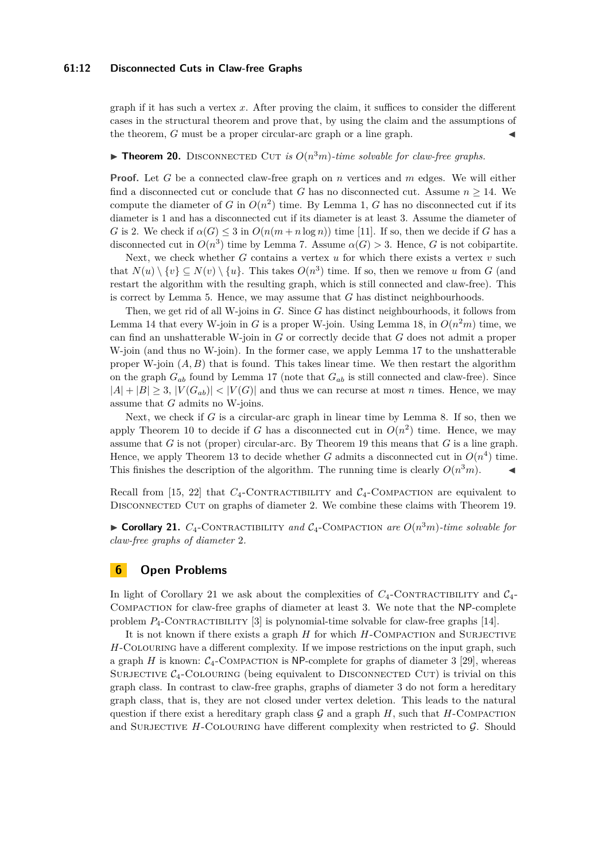## **61:12 Disconnected Cuts in Claw-free Graphs**

graph if it has such a vertex *x*. After proving the claim, it suffices to consider the different cases in the structural theorem and prove that, by using the claim and the assumptions of the theorem, *G* must be a proper circular-arc graph or a line graph.

## **Theorem 20.** DISCONNECTED CUT *is*  $O(n^3m)$ -time solvable for claw-free graphs.

**Proof.** Let *G* be a connected claw-free graph on *n* vertices and *m* edges. We will either find a disconnected cut or conclude that *G* has no disconnected cut. Assume  $n \geq 14$ . We compute the diameter of *G* in  $O(n^2)$  time. By Lemma [1,](#page-4-1) *G* has no disconnected cut if its diameter is 1 and has a disconnected cut if its diameter is at least 3. Assume the diameter of *G* is 2. We check if  $\alpha(G) \leq 3$  in  $O(n(m+n \log n))$  time [\[11\]](#page-12-8). If so, then we decide if *G* has a disconnected cut in  $O(n^3)$  time by Lemma [7.](#page-5-2) Assume  $\alpha(G) > 3$ . Hence, *G* is not cobipartite.

Next, we check whether *G* contains a vertex *u* for which there exists a vertex *v* such that  $N(u) \setminus \{v\} \subseteq N(v) \setminus \{u\}$ . This takes  $O(n^3)$  time. If so, then we remove *u* from *G* (and restart the algorithm with the resulting graph, which is still connected and claw-free). This is correct by Lemma [5.](#page-4-5) Hence, we may assume that *G* has distinct neighbourhoods.

Then, we get rid of all W-joins in *G*. Since *G* has distinct neighbourhoods, it follows from Lemma [14](#page-8-2) that every W-join in *G* is a proper W-join. Using Lemma [18,](#page-10-1) in  $O(n^2m)$  time, we can find an unshatterable W-join in *G* or correctly decide that *G* does not admit a proper W-join (and thus no W-join). In the former case, we apply Lemma [17](#page-9-1) to the unshatterable proper W-join  $(A, B)$  that is found. This takes linear time. We then restart the algorithm on the graph  $G_{ab}$  found by Lemma [17](#page-9-1) (note that  $G_{ab}$  is still connected and claw-free). Since  $|A| + |B| \geq 3$ ,  $|V(G_{ab})| < |V(G)|$  and thus we can recurse at most *n* times. Hence, we may assume that *G* admits no W-joins.

Next, we check if *G* is a circular-arc graph in linear time by Lemma [8.](#page-5-1) If so, then we apply Theorem [10](#page-5-3) to decide if *G* has a disconnected cut in  $O(n^2)$  time. Hence, we may assume that *G* is not (proper) circular-arc. By Theorem [19](#page-10-2) this means that *G* is a line graph. Hence, we apply Theorem [13](#page-6-2) to decide whether *G* admits a disconnected cut in  $O(n^4)$  time. This finishes the description of the algorithm. The running time is clearly  $O(n^3m)$ .

Recall from [\[15,](#page-12-0) [22\]](#page-13-1) that  $C_4$ -CONTRACTIBILITY and  $C_4$ -COMPACTION are equivalent to DISCONNECTED CUT on graphs of diameter 2. We combine these claims with Theorem [19.](#page-10-2)

<span id="page-11-0"></span> $\triangleright$  **Corollary 21.**  $C_4$ -CONTRACTIBILITY and  $C_4$ -COMPACTION are  $O(n^3m)$ -time solvable for *claw-free graphs of diameter* 2*.*

## **6 Open Problems**

In light of Corollary [21](#page-11-0) we ask about the complexities of  $C_4$ -CONTRACTIBILITY and  $C_4$ -Compaction for claw-free graphs of diameter at least 3. We note that the NP-complete problem  $P_4$ -CONTRACTIBILITY [\[3\]](#page-12-5) is polynomial-time solvable for claw-free graphs [\[14\]](#page-12-6).

It is not known if there exists a graph *H* for which *H*-Compaction and Surjective *H*-COLOURING have a different complexity. If we impose restrictions on the input graph, such a graph  $H$  is known:  $C_4$ -COMPACTION is NP-complete for graphs of diameter 3 [\[29\]](#page-13-11), whereas SURJECTIVE  $C_4$ -COLOURING (being equivalent to DISCONNECTED CUT) is trivial on this graph class. In contrast to claw-free graphs, graphs of diameter 3 do not form a hereditary graph class, that is, they are not closed under vertex deletion. This leads to the natural question if there exist a hereditary graph class  $\mathcal G$  and a graph  $H$ , such that  $H$ -COMPACTION and SURJECTIVE  $H$ -COLOURING have different complexity when restricted to  $\mathcal G$ . Should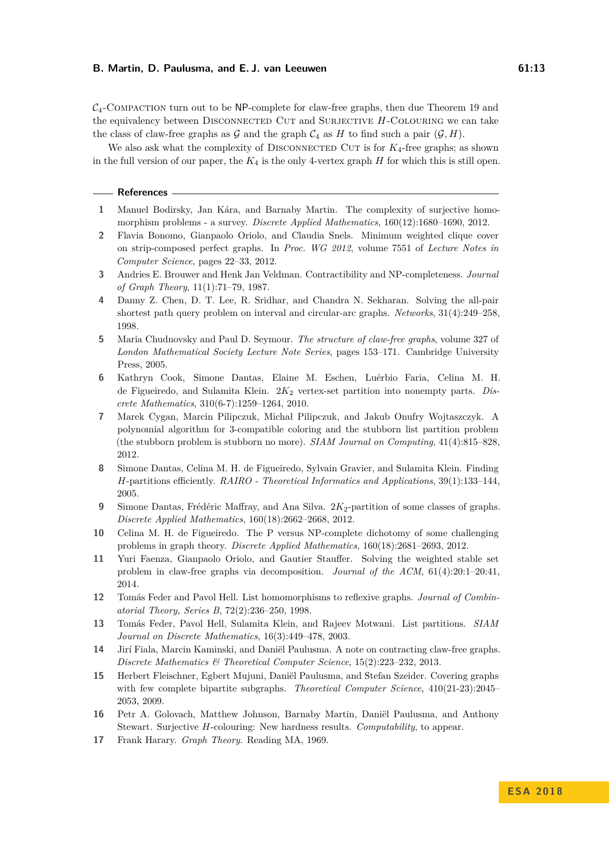$C_4$ -Compaction turn out to be NP-complete for claw-free graphs, then due Theorem [19](#page-10-2) and the equivalency between DISCONNECTED CUT and SURJECTIVE *H*-COLOURING we can take the class of claw-free graphs as  $\mathcal G$  and the graph  $\mathcal C_4$  as  $H$  to find such a pair  $(\mathcal G, H)$ .

We also ask what the complexity of DISCONNECTED CUT is for  $K_4$ -free graphs; as shown in the full version of our paper, the  $K_4$  is the only 4-vertex graph  $H$  for which this is still open.

#### **References**

- <span id="page-12-13"></span>**1** Manuel Bodirsky, Jan Kára, and Barnaby Martin. The complexity of surjective homomorphism problems - a survey. *Discrete Applied Mathematics*, 160(12):1680–1690, 2012.
- <span id="page-12-9"></span>**2** Flavia Bonomo, Gianpaolo Oriolo, and Claudia Snels. Minimum weighted clique cover on strip-composed perfect graphs. In *Proc. WG 2012*, volume 7551 of *Lecture Notes in Computer Science*, pages 22–33, 2012.
- <span id="page-12-5"></span>**3** Andries E. Brouwer and Henk Jan Veldman. Contractibility and NP-completeness. *Journal of Graph Theory*, 11(1):71–79, 1987.
- <span id="page-12-16"></span>**4** Danny Z. Chen, D. T. Lee, R. Sridhar, and Chandra N. Sekharan. Solving the all-pair shortest path query problem on interval and circular-arc graphs. *Networks*, 31(4):249–258, 1998.
- <span id="page-12-7"></span>**5** Maria Chudnovsky and Paul D. Seymour. *The structure of claw-free graphs*, volume 327 of *London Mathematical Society Lecture Note Series*, pages 153–171. Cambridge University Press, 2005.
- <span id="page-12-2"></span>**6** Kathryn Cook, Simone Dantas, Elaine M. Eschen, Luérbio Faria, Celina M. H. de Figueiredo, and Sulamita Klein. 2*K*<sup>2</sup> vertex-set partition into nonempty parts. *Discrete Mathematics*, 310(6-7):1259–1264, 2010.
- <span id="page-12-11"></span>**7** Marek Cygan, Marcin Pilipczuk, Michał Pilipczuk, and Jakub Onufry Wojtaszczyk. A polynomial algorithm for 3-compatible coloring and the stubborn list partition problem (the stubborn problem is stubborn no more). *SIAM Journal on Computing*, 41(4):815–828, 2012.
- <span id="page-12-1"></span>**8** Simone Dantas, Celina M. H. de Figueiredo, Sylvain Gravier, and Sulamita Klein. Finding *H*-partitions efficiently. *RAIRO - Theoretical Informatics and Applications*, 39(1):133–144, 2005.
- <span id="page-12-3"></span>**9** Simone Dantas, Frédéric Maffray, and Ana Silva. 2 $K_2$ -partition of some classes of graphs. *Discrete Applied Mathematics*, 160(18):2662–2668, 2012.
- <span id="page-12-4"></span>**10** Celina M. H. de Figueiredo. The P versus NP-complete dichotomy of some challenging problems in graph theory. *Discrete Applied Mathematics*, 160(18):2681–2693, 2012.
- <span id="page-12-8"></span>**11** Yuri Faenza, Gianpaolo Oriolo, and Gautier Stauffer. Solving the weighted stable set problem in claw-free graphs via decomposition. *Journal of the ACM*, 61(4):20:1–20:41, 2014.
- <span id="page-12-12"></span>**12** Tomás Feder and Pavol Hell. List homomorphisms to reflexive graphs. *Journal of Combinatorial Theory, Series B*, 72(2):236–250, 1998.
- <span id="page-12-10"></span>**13** Tomás Feder, Pavol Hell, Sulamita Klein, and Rajeev Motwani. List partitions. *SIAM Journal on Discrete Mathematics*, 16(3):449–478, 2003.
- <span id="page-12-6"></span>**14** Jirí Fiala, Marcin Kaminski, and Daniël Paulusma. A note on contracting claw-free graphs. *Discrete Mathematics & Theoretical Computer Science*, 15(2):223–232, 2013.
- <span id="page-12-0"></span>**15** Herbert Fleischner, Egbert Mujuni, Daniël Paulusma, and Stefan Szeider. Covering graphs with few complete bipartite subgraphs. *Theoretical Computer Science*, 410(21-23):2045– 2053, 2009.
- <span id="page-12-14"></span>**16** Petr A. Golovach, Matthew Johnson, Barnaby Martin, Daniël Paulusma, and Anthony Stewart. Surjective *H*-colouring: New hardness results. *Computability*, to appear.
- <span id="page-12-15"></span>**17** Frank Harary. *Graph Theory*. Reading MA, 1969.